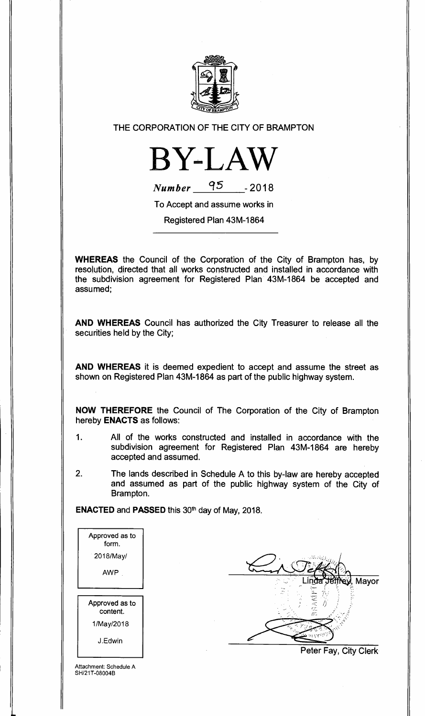

**THE CORPORATION OF THE CITY OF BRAMPTON** 



| <b>Number</b> | 95 | $-2018$ |
|---------------|----|---------|
|               |    |         |

**To Accept and assume works in** 

**Registered Plan 43M-1864** 

**WHEREAS the Council of the Corporation of the City of Brampton has, by resolution, directed that all works constructed and installed in accordance with the subdivision agreement for Registered Plan 43M-1864 be accepted and assumed;** 

**AND WHEREAS Council has authorized the City Treasurer to release all the securities held by the City;** 

**AND WHEREAS it is deemed expedient to accept and assume the street as shown on Registered Plan 43M-1864 as part of the public highway system.** 

**NOW THEREFORE the Council of The Corporation of the City of Brampton hereby ENACTS as follows:** 

- **1. All of the works constructed and installed in accordance with the subdivision agreement for Registered Plan 43M-1864 are hereby accepted and assumed.**
- **2. The lands described in Schedule A to this by-law are hereby accepted and assumed as part of the public highway system of the City of Brampton.**

ENACTED and PASSED this 30<sup>th</sup> day of May, 2018.

| Approved as to<br>form.    |
|----------------------------|
| 2018/May/                  |
| AWP                        |
|                            |
|                            |
| Approved as to<br>content. |
| 1/May/2018                 |
| J.Edwin                    |

Mayor

**Peter Fay, City Clerk** 

Attachment: Schedule A SH/21T-08004B